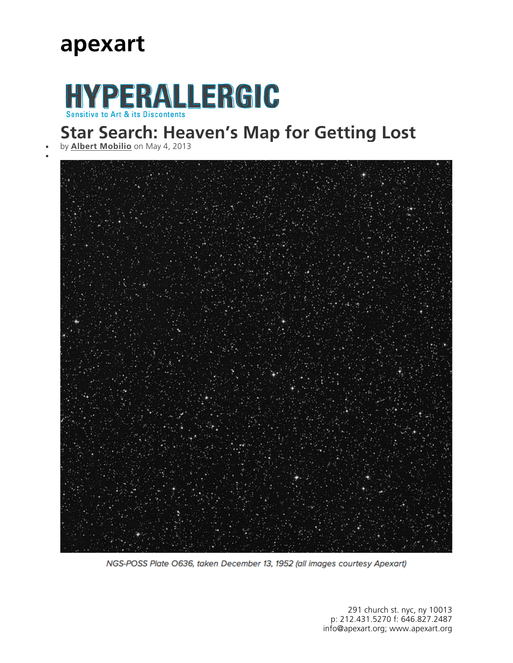### **apexart**

# HYPERALLERGIC

#### **Star Search: Heaven's Map for Getting Lost**

by **Albert Mobilio** on May 4, 2013

 $\bullet$ 



NGS-POSS Plate O636, taken December 13, 1952 (all images courtesy Apexart)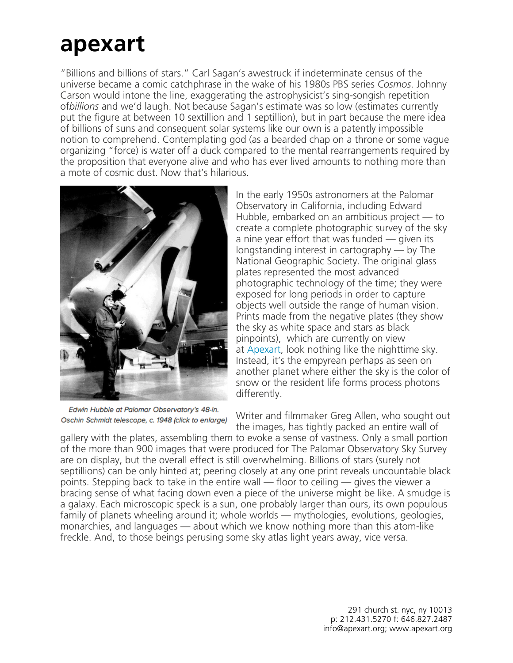## **apexart**

"Billions and billions of stars." Carl Sagan's awestruck if indeterminate census of the universe became a comic catchphrase in the wake of his 1980s PBS series *Cosmos*. Johnny Carson would intone the line, exaggerating the astrophysicist's sing-songish repetition of*billions* and we'd laugh. Not because Sagan's estimate was so low (estimates currently put the figure at between 10 sextillion and 1 septillion), but in part because the mere idea of billions of suns and consequent solar systems like our own is a patently impossible notion to comprehend. Contemplating god (as a bearded chap on a throne or some vague organizing "force) is water off a duck compared to the mental rearrangements required by the proposition that everyone alive and who has ever lived amounts to nothing more than a mote of cosmic dust. Now that's hilarious.



Edwin Hubble at Palomar Observatory's 48-in. Oschin Schmidt telescope, c. 1948 (click to enlarge)

In the early 1950s astronomers at the Palomar Observatory in California, including Edward Hubble, embarked on an ambitious project — to create a complete photographic survey of the sky a nine year effort that was funded — given its longstanding interest in cartography — by The National Geographic Society. The original glass plates represented the most advanced photographic technology of the time; they were exposed for long periods in order to capture objects well outside the range of human vision. Prints made from the negative plates (they show the sky as white space and stars as black pinpoints), which are currently on view at Apexart, look nothing like the nighttime sky. Instead, it's the empyrean perhaps as seen on another planet where either the sky is the color of snow or the resident life forms process photons differently.

Writer and filmmaker Greg Allen, who sought out the images, has tightly packed an entire wall of

gallery with the plates, assembling them to evoke a sense of vastness. Only a small portion of the more than 900 images that were produced for The Palomar Observatory Sky Survey are on display, but the overall effect is still overwhelming. Billions of stars (surely not septillions) can be only hinted at; peering closely at any one print reveals uncountable black points. Stepping back to take in the entire wall — floor to ceiling — gives the viewer a bracing sense of what facing down even a piece of the universe might be like. A smudge is a galaxy. Each microscopic speck is a sun, one probably larger than ours, its own populous family of planets wheeling around it; whole worlds — mythologies, evolutions, geologies, monarchies, and languages — about which we know nothing more than this atom-like freckle. And, to those beings perusing some sky atlas light years away, vice versa.